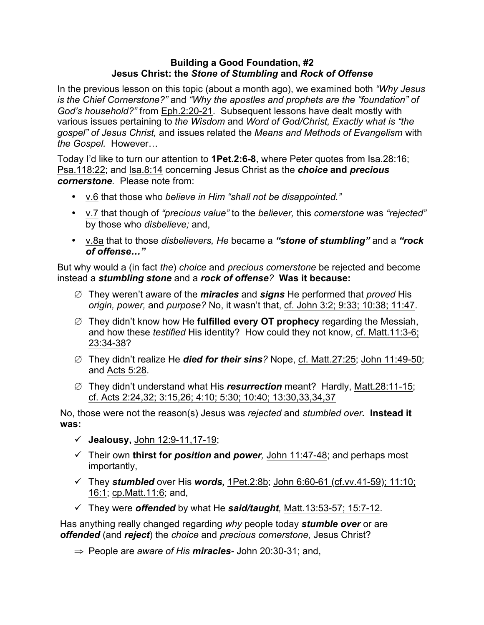## **Building a Good Foundation, #2 Jesus Christ: the** *Stone of Stumbling* **and** *Rock of Offense*

In the previous lesson on this topic (about a month ago), we examined both *"Why Jesus is the Chief Cornerstone?"* and *"Why the apostles and prophets are the "foundation" of God's household?"* from Eph.2:20-21. Subsequent lessons have dealt mostly with various issues pertaining to *the Wisdom* and *Word of God/Christ, Exactly what is "the gospel" of Jesus Christ,* and issues related the *Means and Methods of Evangelism* with *the Gospel.* However…

Today I'd like to turn our attention to **1Pet.2:6-8**, where Peter quotes from Isa.28:16; Psa.118:22; and Isa.8:14 concerning Jesus Christ as the *choice* **and** *precious cornerstone.* Please note from:

- v.6 that those who *believe in Him "shall not be disappointed."*
- v.7 that though of *"precious value"* to the *believer,* this *cornerstone* was *"rejected"*  by those who *disbelieve;* and,
- v.8a that to those *disbelievers, He* became a *"stone of stumbling"* and a *"rock of offense…"*

But why would a (in fact *the*) *choice* and *precious cornerstone* be rejected and become instead a *stumbling stone* and a *rock of offense?* **Was it because:**

- ∅ They weren't aware of the *miracles* and *signs* He performed that *proved* His *origin, power,* and *purpose?* No, it wasn't that, cf. John 3:2; 9:33; 10:38; 11:47.
- ∅ They didn't know how He **fulfilled every OT prophecy** regarding the Messiah, and how these *testified* His identity? How could they not know, cf. Matt.11:3-6; 23:34-38?
- ∅ They didn't realize He *died for their sins?* Nope, cf. Matt.27:25; John 11:49-50; and Acts 5:28.
- ∅ They didn't understand what His *resurrection* meant? Hardly, Matt.28:11-15; cf. Acts 2:24,32; 3:15,26; 4:10; 5:30; 10:40; 13:30,33,34,37

No, those were not the reason(s) Jesus was *rejected* and *stumbled over.* **Instead it was:**

- $\checkmark$  **Jealousy**, John 12:9-11,17-19;
- ü Their own **thirst for** *position* **and** *power,* John 11:47-48; and perhaps most importantly,
- ü They *stumbled* over His *words,* 1Pet.2:8b; John 6:60-61 (cf.vv.41-59); 11:10; 16:1; cp.Matt.11:6; and,
- ü They were *offended* by what He *said/taught,* Matt.13:53-57; 15:7-12.

Has anything really changed regarding *why* people today *stumble over* or are *offended* (and *reject*) the *choice* and *precious cornerstone,* Jesus Christ?

⇒ People are *aware of His miracles-* John 20:30-31; and,